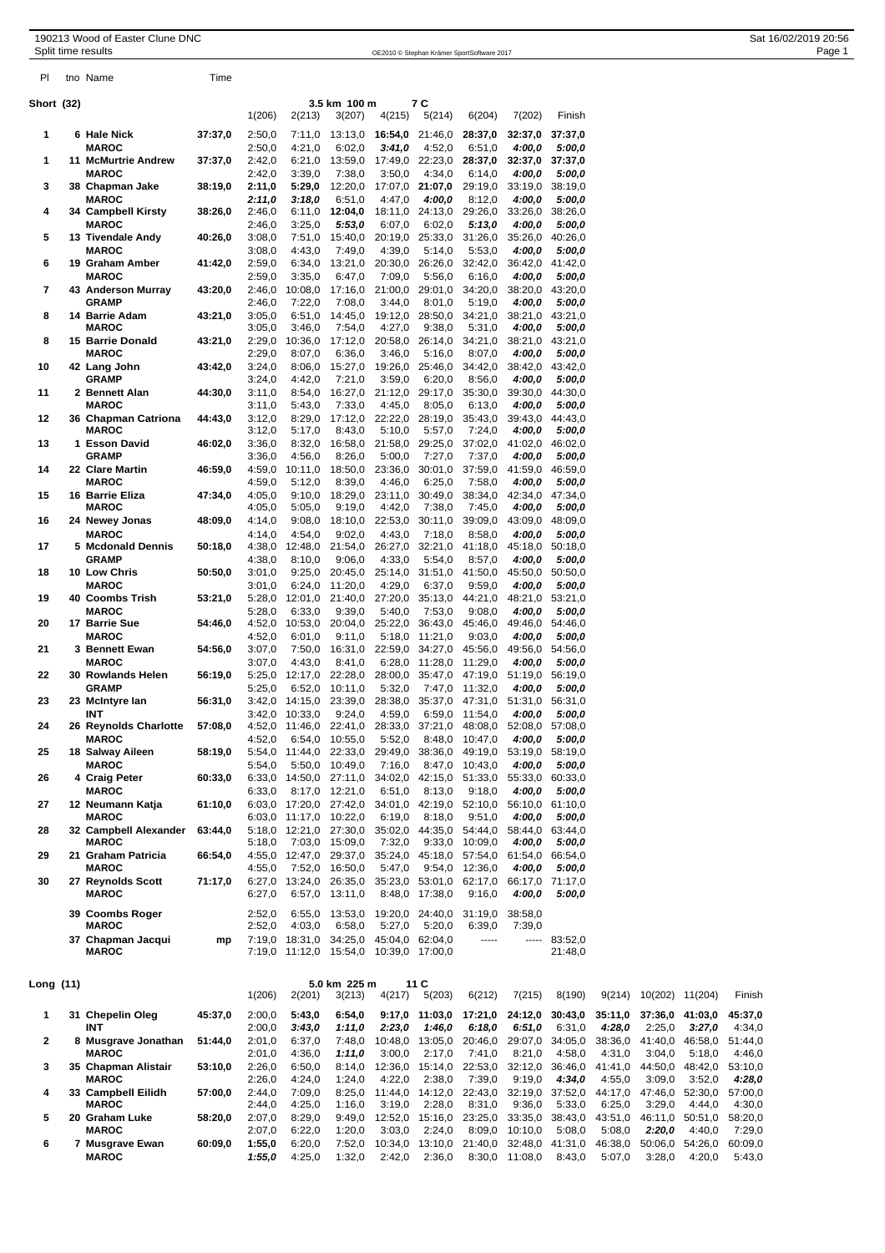|            | 190213 Wood of Easter Clune DNC            |         |                  |                                                  |                                        |                           |                                            |                   |                                                                          |                           | Sat 16/02/2019 20:56 |
|------------|--------------------------------------------|---------|------------------|--------------------------------------------------|----------------------------------------|---------------------------|--------------------------------------------|-------------------|--------------------------------------------------------------------------|---------------------------|----------------------|
|            | Split time results                         |         |                  |                                                  |                                        |                           | OE2010 © Stephan Krämer SportSoftware 2017 |                   |                                                                          |                           | Page 1               |
| PI.        | tno Name                                   | Time    |                  |                                                  |                                        |                           |                                            |                   |                                                                          |                           |                      |
| Short (32) |                                            |         |                  |                                                  | 3.5 km 100 m                           |                           | 7 C                                        |                   |                                                                          |                           |                      |
|            |                                            |         | 1(206)           | 2(213)                                           | 3(207)                                 | 4(215)                    | 5(214)                                     | 6(204)            | 7(202)                                                                   | Finish                    |                      |
| 1          | 6 Hale Nick                                | 37:37,0 | 2:50,0           | 7:11,0                                           | 13:13,0                                | 16:54,0                   | 21:46,0                                    | 28:37,0           | 32:37,0                                                                  | 37:37,0                   |                      |
|            | <b>MAROC</b>                               |         | 2:50,0           | 4:21,0                                           | 6:02,0                                 | 3:41,0                    | 4:52,0                                     | 6:51,0            | 4:00,0                                                                   | 5:00,0                    |                      |
| 1          | <b>11 McMurtrie Andrew</b><br><b>MAROC</b> | 37:37,0 | 2:42,0<br>2:42,0 | 6:21,0<br>3:39,0                                 | 13:59,0<br>7:38,0                      | 17:49,0 22:23,0<br>3:50,0 | 4:34,0                                     | 28:37,0<br>6:14,0 | 4:00,0                                                                   | 32:37,0 37:37,0<br>5:00,0 |                      |
| 3          | 38 Chapman Jake                            | 38:19,0 | 2:11,0           | 5:29,0                                           | 12:20,0                                | 17:07,0 21:07,0           |                                            | 29:19,0           |                                                                          | 33:19,0 38:19,0           |                      |
|            | <b>MAROC</b>                               |         | 2:11,0           | 3:18,0                                           | 6:51,0                                 | 4:47,0                    | 4:00,0                                     | 8:12,0            | 4:00,0                                                                   | 5:00,0                    |                      |
| 4          | 34 Campbell Kirsty<br><b>MAROC</b>         | 38:26,0 | 2:46,0<br>2:46,0 | 6:11,0<br>3:25,0                                 | 12:04,0<br>5:53,0                      | 18:11,0<br>6:07,0         | 24:13,0<br>6:02,0                          | 29:26,0<br>5:13,0 | 33:26,0<br>4:00,0                                                        | 38:26,0<br>5:00,0         |                      |
| 5          | 13 Tivendale Andy                          | 40:26,0 | 3:08,0           | 7:51,0                                           | 15:40,0                                |                           | 20:19,0 25:33,0                            | 31:26.0           |                                                                          | 35:26,0 40:26,0           |                      |
|            | <b>MAROC</b>                               |         | 3:08,0           | 4:43,0                                           | 7:49,0                                 | 4:39,0                    | 5:14,0                                     | 5:53,0            | 4:00,0                                                                   | 5:00,0                    |                      |
| 6          | 19 Graham Amber<br><b>MAROC</b>            | 41:42,0 | 2:59,0<br>2:59,0 | 6:34,0<br>3:35,0                                 | 13:21,0<br>6:47,0                      | 20:30,0<br>7:09,0         | 26:26,0<br>5:56,0                          | 32:42,0<br>6:16,0 | 4:00,0                                                                   | 36:42,0 41:42,0<br>5:00,0 |                      |
| 7          | 43 Anderson Murray                         | 43:20,0 | 2:46,0           | 10:08,0                                          | 17:16,0                                | 21:00,0                   | 29:01,0                                    | 34:20,0           |                                                                          | 38:20,0 43:20,0           |                      |
|            | <b>GRAMP</b>                               |         | 2:46,0           | 7:22,0                                           | 7:08,0                                 | 3:44,0                    | 8:01,0                                     | 5:19,0            | 4:00,0                                                                   | 5:00,0                    |                      |
| 8          | 14 Barrie Adam<br><b>MAROC</b>             | 43:21,0 | 3:05,0<br>3:05,0 | 6:51,0<br>3:46,0                                 | 14:45,0<br>7:54,0                      | 19:12,0<br>4:27,0         | 28:50,0<br>9:38,0                          | 34:21,0<br>5:31,0 | 4:00,0                                                                   | 38:21,0 43:21,0<br>5:00.0 |                      |
| 8          | 15 Barrie Donald                           | 43:21,0 | 2:29,0           | 10:36,0                                          | 17:12,0                                | 20:58,0                   | 26:14,0                                    | 34:21,0           |                                                                          | 38:21,0 43:21,0           |                      |
|            | <b>MAROC</b>                               |         | 2:29,0           | 8:07,0                                           | 6:36,0                                 | 3:46,0                    | 5:16,0                                     | 8:07,0            | 4:00,0                                                                   | 5:00,0                    |                      |
| 10         | 42 Lang John<br><b>GRAMP</b>               | 43:42,0 | 3:24,0<br>3:24,0 | 8:06,0<br>4:42,0                                 | 15:27,0<br>7:21,0                      | 19:26,0<br>3:59,0         | 25:46,0<br>6:20,0                          | 34:42,0<br>8:56,0 | 4:00,0                                                                   | 38:42,0 43:42,0<br>5:00,0 |                      |
| 11         | 2 Bennett Alan                             | 44:30,0 | 3:11,0           | 8:54,0                                           | 16:27,0                                | 21:12,0                   | 29:17,0                                    | 35:30,0           |                                                                          | 39:30,0 44:30,0           |                      |
|            | <b>MAROC</b>                               |         | 3:11,0           | 5:43,0                                           | 7:33,0                                 | 4:45,0                    | 8:05,0                                     | 6:13,0            | 4:00,0                                                                   | 5:00,0                    |                      |
| 12         | 36 Chapman Catriona<br><b>MAROC</b>        | 44:43,0 | 3:12,0           | 8:29,0                                           | 17:12,0                                | 22:22,0                   | 28:19,0                                    | 35:43,0           |                                                                          | 39:43,0 44:43,0           |                      |
| 13         | 1 Esson David                              | 46:02,0 | 3:12,0<br>3:36,0 | 5:17,0<br>8:32,0                                 | 8:43,0<br>16:58,0                      | 5:10,0<br>21:58,0         | 5:57,0<br>29:25,0                          | 7:24,0<br>37:02,0 | 4:00,0                                                                   | 5:00,0<br>41:02,0 46:02,0 |                      |
|            | <b>GRAMP</b>                               |         | 3:36,0           | 4:56,0                                           | 8:26,0                                 | 5:00,0                    | 7:27,0                                     | 7:37,0            | 4:00,0                                                                   | 5:00,0                    |                      |
| 14         | 22 Clare Martin<br><b>MAROC</b>            | 46:59,0 | 4:59,0           | 10:11,0                                          | 18:50,0                                | 23:36,0                   | 30:01,0                                    | 37:59,0<br>7:58,0 |                                                                          | 41:59,0 46:59,0           |                      |
| 15         | 16 Barrie Eliza                            | 47:34,0 | 4:59,0<br>4:05,0 | 5:12,0<br>9:10,0                                 | 8:39,0<br>18:29,0                      | 4:46,0<br>23:11,0         | 6:25,0<br>30:49,0                          | 38:34,0           | 4:00,0                                                                   | 5:00,0<br>42:34,0 47:34,0 |                      |
|            | <b>MAROC</b>                               |         | 4:05,0           | 5:05,0                                           | 9:19,0                                 | 4:42,0                    | 7:38,0                                     | 7:45,0            | 4:00,0                                                                   | 5:00,0                    |                      |
| 16         | 24 Newey Jonas                             | 48:09.0 | 4:14,0           | 9:08,0                                           | 18:10,0                                | 22:53,0                   | 30:11,0                                    | 39:09,0           |                                                                          | 43:09,0 48:09,0           |                      |
| 17         | <b>MAROC</b><br>5 Mcdonald Dennis          | 50:18,0 | 4:14,0<br>4:38,0 | 4:54,0<br>12:48,0                                | 9:02,0<br>21:54,0                      | 4:43,0<br>26:27,0         | 7:18,0<br>32:21,0                          | 8:58,0<br>41:18,0 | 4:00,0<br>45:18,0                                                        | 5:00,0<br>50:18,0         |                      |
|            | <b>GRAMP</b>                               |         | 4:38,0           | 8:10,0                                           | 9:06,0                                 | 4:33,0                    | 5:54,0                                     | 8:57,0            | 4:00,0                                                                   | 5:00,0                    |                      |
| 18         | 10 Low Chris                               | 50:50,0 | 3:01,0           | 9:25,0                                           | 20:45,0                                | 25:14,0                   | 31:51,0                                    | 41:50,0           |                                                                          | 45:50,0 50:50,0           |                      |
| 19         | <b>MAROC</b><br>40 Coombs Trish            | 53:21,0 | 3:01,0           | 6:24,0<br>5:28,0 12:01,0                         | 11:20,0<br>21:40,0                     | 4:29,0<br>27:20,0         | 6:37,0<br>35:13,0                          | 9:59,0<br>44:21,0 | 4:00,0                                                                   | 5:00,0<br>48:21,0 53:21,0 |                      |
|            | <b>MAROC</b>                               |         | 5:28,0           | 6:33,0                                           | 9:39,0                                 | 5:40,0                    | 7:53,0                                     | 9:08,0            | 4:00,0                                                                   | 5:00,0                    |                      |
| 20         | 17 Barrie Sue                              | 54:46,0 | 4:52,0           | 10:53,0                                          | 20:04,0                                |                           | 25:22,0 36:43,0                            | 45:46,0           |                                                                          | 49:46,0 54:46,0           |                      |
| 21         | <b>MAROC</b><br>3 Bennett Ewan             | 54:56,0 | 4:52,0<br>3:07,0 | 6:01,0<br>7:50,0                                 | 9:11.0<br>16:31,0                      | 5:18,0<br>22:59,0         | 11:21,0<br>34:27,0                         | 9:03,0<br>45:56,0 | 4:00,0                                                                   | 5:00,0<br>49:56,0 54:56,0 |                      |
|            | <b>MAROC</b>                               |         | 3:07,0           | 4:43,0                                           | 8:41,0                                 | 6:28,0                    | 11:28,0                                    | 11:29,0           | 4:00,0                                                                   | 5:00,0                    |                      |
| 22         | 30 Rowlands Helen                          | 56:19,0 | 5:25,0           | 12:17,0                                          | 22:28,0                                | 28:00,0                   | 35:47,0                                    | 47:19,0           |                                                                          | 51:19,0 56:19,0           |                      |
| 23         | <b>GRAMP</b><br>23 McIntyre Ian            | 56:31,0 | 5:25,0           | 6:52,0<br>3:42,0 14:15,0                         | 10:11,0<br>23:39,0                     | 5:32,0                    | 28:38,0 35:37,0 47:31,0                    | 7:47,0 11:32,0    | 4:00,0<br>51:31,0                                                        | 5:00,0<br>56:31,0         |                      |
|            | INT                                        |         |                  | 3:42,0 10:33,0                                   | 9:24,0                                 | 4:59,0                    |                                            | 6:59,0 11:54,0    | 4:00,0                                                                   | 5:00,0                    |                      |
| 24         | 26 Reynolds Charlotte                      | 57:08,0 |                  |                                                  |                                        |                           |                                            |                   | 4:52,0 11:46,0 22:41,0 28:33,0 37:21,0 48:08,0 52:08,0 57:08,0           |                           |                      |
| 25         | <b>MAROC</b><br>18 Salway Aileen           | 58:19,0 | 4:52,0           | 5:54,0 11:44,0 22:33,0 29:49,0 38:36,0 49:19,0   | 6:54,0 10:55,0                         | 5:52,0                    |                                            | 8:48,0 10:47,0    | 4:00,0                                                                   | 5:00,0<br>53:19,0 58:19,0 |                      |
|            | <b>MAROC</b>                               |         | 5:54,0           |                                                  | 5:50,0 10:49,0                         | 7:16,0                    |                                            | 8:47,0 10:43,0    | 4:00,0                                                                   | 5:00,0                    |                      |
| 26         | 4 Craig Peter                              | 60:33,0 |                  |                                                  |                                        |                           |                                            |                   | 6:33,0 14:50,0 27:11,0 34:02,0 42:15,0 51:33,0 55:33,0 60:33,0           |                           |                      |
| 27         | <b>MAROC</b><br>12 Neumann Katja           | 61:10,0 | 6:33,0           | 6:03,0 17:20,0 27:42,0 34:01,0 42:19,0 52:10,0   | 8:17,0 12:21,0                         | 6:51,0                    | 8:13,0                                     | 9:18,0            | 4:00,0                                                                   | 5:00,0<br>56:10,0 61:10,0 |                      |
|            | <b>MAROC</b>                               |         |                  | 6:03,0 11:17,0 10:22,0                           |                                        | 6:19,0                    | 8:18,0                                     | 9:51,0            | 4:00,0                                                                   | 5:00.0                    |                      |
| 28         | 32 Campbell Alexander                      | 63:44,0 |                  | 5:18,0 12:21,0 27:30,0 35:02,0 44:35,0 54:44,0   |                                        |                           |                                            |                   |                                                                          | 58:44,0 63:44,0           |                      |
| 29         | <b>MAROC</b><br>21 Graham Patricia         | 66:54,0 | 5:18,0           | 7:03,0 15:09,0                                   |                                        | 7:32,0                    |                                            | 9:33,0 10:09,0    | 4:00,0<br>4:55,0 12:47,0 29:37,0 35:24,0 45:18,0 57:54,0 61:54,0 66:54,0 | 5:00,0                    |                      |
|            | <b>MAROC</b>                               |         | 4:55,0           |                                                  | 7:52,0 16:50,0                         | 5:47,0                    |                                            | 9:54,0 12:36,0    | 4:00,0                                                                   | 5:00,0                    |                      |
| 30         | 27 Reynolds Scott                          | 71:17,0 |                  |                                                  |                                        |                           |                                            |                   | 6:27,0 13:24,0 26:35,0 35:23,0 53:01,0 62:17,0 66:17,0 71:17,0           |                           |                      |
|            | <b>MAROC</b>                               |         | 6:27,0           |                                                  | 6:57,0 13:11,0                         |                           | 8:48,0 17:38,0                             | 9:16,0            | 4:00,0                                                                   | 5:00,0                    |                      |
|            | 39 Coombs Roger                            |         | 2:52,0           |                                                  | 6:55,0 13:53,0 19:20,0 24:40,0 31:19,0 |                           |                                            |                   | 38:58,0                                                                  |                           |                      |
|            | <b>MAROC</b>                               |         | 2:52,0           | 4:03,0<br>7:19,0 18:31,0 34:25,0 45:04,0 62:04,0 | 6:58,0                                 | 5:27,0                    | 5:20,0                                     | 6:39,0<br>-----   | 7:39,0                                                                   | $-- 83:52,0$              |                      |
|            | 37 Chapman Jacqui<br><b>MAROC</b>          | mp      |                  | 7:19,0 11:12,0 15:54,0 10:39,0 17:00,0           |                                        |                           |                                            |                   |                                                                          | 21:48,0                   |                      |
|            |                                            |         |                  |                                                  |                                        |                           |                                            |                   |                                                                          |                           |                      |
| l ona (11) |                                            |         |                  |                                                  | 50 km 225 m                            |                           | $-11C$                                     |                   |                                                                          |                           |                      |

|           | <b>MAROC</b>        |         |        | 7:19.0 11:12.0 15:54.0 |        |         | 10:39.0 17:00.0 |                                         |                 | 21:48.0 |                                                                  |                 |         |         |
|-----------|---------------------|---------|--------|------------------------|--------|---------|-----------------|-----------------------------------------|-----------------|---------|------------------------------------------------------------------|-----------------|---------|---------|
| Long (11) |                     |         |        | 5.0 km 225 m           |        | 11 C    |                 |                                         |                 |         |                                                                  |                 |         |         |
|           |                     |         | 1(206) | 2(201)                 | 3(213) | 4(217)  | 5(203)          | 6(212)                                  | 7(215)          | 8(190)  | 9(214)                                                           | 10(202)         | 11(204) | Finish  |
|           | 31 Chepelin Oleg    | 45:37.0 | 2:00.0 | 5:43.0                 | 6:54.0 |         |                 |                                         |                 |         | $9:17.0$ 11:03.0 17:21.0 24:12.0 30:43.0 35:11.0 37:36.0 41:03.0 |                 |         | 45:37.0 |
|           | INT                 |         | 2:00.0 | 3:43.0                 | 1:11.0 | 2:23.0  | 1.46.0          | 6:18.0                                  | 6:51.0          | 6:31.0  | 4:28.0                                                           | 2:25.0          | 3:27.0  | 4:34.0  |
| 2         | 8 Musgrave Jonathan | 51:44.0 | 2:01.0 | 6:37.0                 | 7:48.0 | 10:48.0 | 13:05.0         | 20:46.0                                 | 29:07.0 34:05.0 |         | 38:36.0                                                          | 41:40.0         | 46:58.0 | 51:44.0 |
|           | <b>MAROC</b>        |         | 2:01.0 | 4:36.0                 | 1:11.0 | 3:00.0  | 2:17.0          | 7:41,0                                  | 8:21.0          | 4:58.0  | 4:31.0                                                           | 3:04.0          | 5:18.0  | 4:46.0  |
| 3         | 35 Chapman Alistair | 53:10.0 | 2:26.0 | 6:50.0                 | 8:14.0 |         |                 | 12:36.0 15:14.0 22:53.0                 | 32:12.0 36:46.0 |         | 41:41.0                                                          | 44:50.0 48:42.0 |         | 53:10.0 |
|           | <b>MAROC</b>        |         | 2:26.0 | 4:24.0                 | 1:24.0 | 4:22.0  | 2:38.0          | 7:39.0                                  | 9:19.0          | 4:34.0  | 4:55.0                                                           | 3:09.0          | 3:52.0  | 4:28.0  |
| 4         | 33 Campbell Eilidh  | 57:00.0 | 2:44.0 | 7:09.0                 | 8:25.0 |         |                 | 11:44.0 14:12.0 22:43.0 32:19.0 37:52.0 |                 |         | 44:17.0                                                          | 47:46.0 52:30.0 |         | 57:00.0 |
|           | <b>MAROC</b>        |         | 2:44.0 | 4:25.0                 | 1:16.0 | 3:19.0  | 2:28.0          | 8:31.0                                  | 9:36,0          | 5:33.0  | 6:25.0                                                           | 3:29.0          | 4:44.0  | 4:30.0  |
| 5         | 20 Graham Luke      | 58:20.0 | 2:07.0 | 8:29.0                 | 9:49.0 |         |                 | 12:52,0 15:16,0 23:25,0 33:35,0 38:43,0 |                 |         | 43:51,0                                                          | 46:11.0 50:51.0 |         | 58:20.0 |

**MAROC** 2:07,0 6:22,0 1:20,0 3:03,0 2:24,0 8:09,0 10:10,0 5:08,0 5:08,0 *2:20,0* 4:40,0 7:29,0 **6 7 Musgrave Ewan 60:09,0 1:55,0** 6:20,0 7:52,0 10:34,0 13:10,0 21:40,0 32:48,0 41:31,0 46:38,0 50:06,0 54:26,0 60:09,0

**MAROC** *1:55,0* 4:25,0 1:32,0 2:42,0 2:36,0 8:30,0 11:08,0 8:43,0 5:07,0 3:28,0 4:20,0 5:43,0